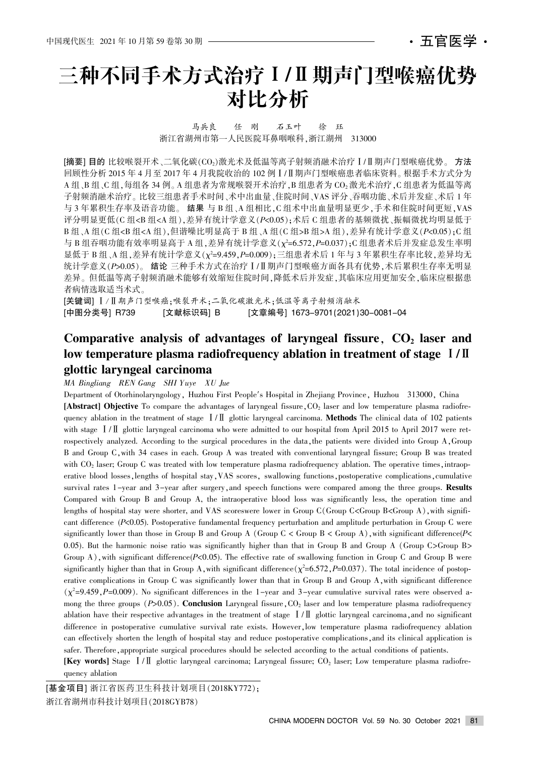# 三种不同手术方式治疗 I/I 期声门型喉癌优势 对比分析

马兵良 任 刚 石玉叶 徐 珏 浙江省湖州市第一人民医院耳鼻咽喉科,浙江湖州 313000

[摘要] 目的 比较喉裂开术、二氧化碳(CO2)激光术及低温等离子射频消融术治疗 I/I 期声门型喉癌优势。 方法 回顾性分析 2015年 4 月至 2017年 4 月我院收治的 102 例 Ⅰ /Ⅱ期声门型喉癌患者临床资料。根据手术方式分为 A 组、B 组、C 组, 每组各 34 例。A 组患者为常规喉裂开术治疗, B 组患者为 CO<sub>2</sub> 激光术治疗, C 组患者为低温等离 子射频消融术治疗。比较三组患者手术时间、术中出血量、住院时间、VAS 评分、吞咽功能、术后并发症、术后 1 年 与 3 年累积生存率及语音功能。 结果 与 B 组、A 组相比, C 组术中出血量明显更少, 手术和住院时间更短, VAS 评分明显更低(C组<B组<A组),差异有统计学意义(P<0.05);术后 C组患者的基频微扰、振幅微扰均明显低于 B 组、A 组(C 组<B 组<A 组),但谐噪比明显高于 B 组、A 组(C 组>B 组>A 组),差异有统计学意义(P<0.05);C 组 与 B 组吞咽功能有效率明显高于 A 组 ,差异有统计学意义( $\chi$ ²=6.572 ,P=0.037) ;C 组患者术后并发症总发生率明 显低于 B 组 、A 组 ,差异有统计学意义(χ2=9.459 ,*P=*0.009) ;三组患者术后 1 年与 3 年累积生存率比较 ,差异均无 统计学意义(P>0.05)。 结论 三种手术方式在治疗 I/I 期声门型喉癌方面各具有优势, 术后累积生存率无明显 差异。但低温等离子射频消融术能够有效缩短住院时间,降低术后并发症,其临床应用更加安全,临床应根据患 者病情选取适当术式。

[关键词] Ⅰ/Ⅱ期声门型喉癌:喉裂开术:二氧化碳激光术:低温等离子射频消融术 [中图分类号] R739 [文献标识码] B [文章编号] 1673-9701(2021)30-0081-04

## Comparative analysis of advantages of laryngeal fissure,  $CO<sub>2</sub>$  laser and low temperature plasma radiofrequency ablation in treatment of stage I/II glottic laryngeal carcinoma

MA Bingliang REN Gang SHI Yuye XU Jue

Department of Otorhinolaryngology, Huzhou First People's Hospital in Zhejiang Province, Huzhou 313000, China [Abstract] Objective To compare the advantages of laryngeal fissure,  $CO<sub>2</sub>$  laser and low temperature plasma radiofrequency ablation in the treatment of stage  $\frac{I}{II}$  glottic laryngeal carcinoma. Methods The clinical data of 102 patients with stage  $\frac{1}{\pi}$  glottic laryngeal carcinoma who were admitted to our hospital from April 2015 to April 2017 were retrospectively analyzed. According to the surgical procedures in the data, the patients were divided into Group  $A$ , Group B and Group C, with 34 cases in each. Group A was treated with conventional laryngeal fissure; Group B was treated with  $CO<sub>2</sub>$  laser; Group C was treated with low temperature plasma radiofrequency ablation. The operative times, intraoperative blood losses, lengths of hospital stay, VAS scores, swallowing functions, postoperative complications, cumulative survival rates 1-year and 3-year after surgery, and speech functions were compared among the three groups. Results Compared with Group B and Group A, the intraoperative blood loss was significantly less, the operation time and lengths of hospital stay were shorter, and VAS scoreswere lower in Group C(Group C<Group B<Group A), with significant difference  $(P<0.05)$ . Postoperative fundamental frequency perturbation and amplitude perturbation in Group C were significantly lower than those in Group B and Group A (Group C < Group B < Group A), with significant difference( $P$ < 0.05). But the harmonic noise ratio was significantly higher than that in Group B and Group A (Group C>Group B> Group A), with significant difference( $P<0.05$ ). The effective rate of swallowing function in Group C and Group B were significantly higher than that in Group A, with significant difference( $\chi^2$ =6.572,P=0.037). The total incidence of postoperative complications in Group C was significantly lower than that in Group B and Group A with significant difference  $(\chi^2=9.459, P=0.009)$ . No significant differences in the 1-year and 3-year cumulative survival rates were observed among the three groups  $(P>0.05)$ . Conclusion Laryngeal fissure,  $CO<sub>2</sub>$  laser and low temperature plasma radiofrequency ablation have their respective advantages in the treatment of stage  $\text{I}/\text{I}$  glottic laryngeal carcinoma, and no significant difference in postoperative cumulative survival rate exists. However, low temperature plasma radiofrequency ablation can effectively shorten the length of hospital stay and reduce postoperative complications, and its clinical application is safer. Therefore, appropriate surgical procedures should be selected according to the actual conditions of patients. **[Key words]** Stage  $\lceil I \rceil$  glottic laryngeal carcinoma; Laryngeal fissure; CO<sub>2</sub> laser; Low temperature plasma radiofre-

[基金项目] 浙江省医药卫生科技计划项目(2018KY772);

quency ablation

浙江省湖州市科技计划项目(2018GYB78)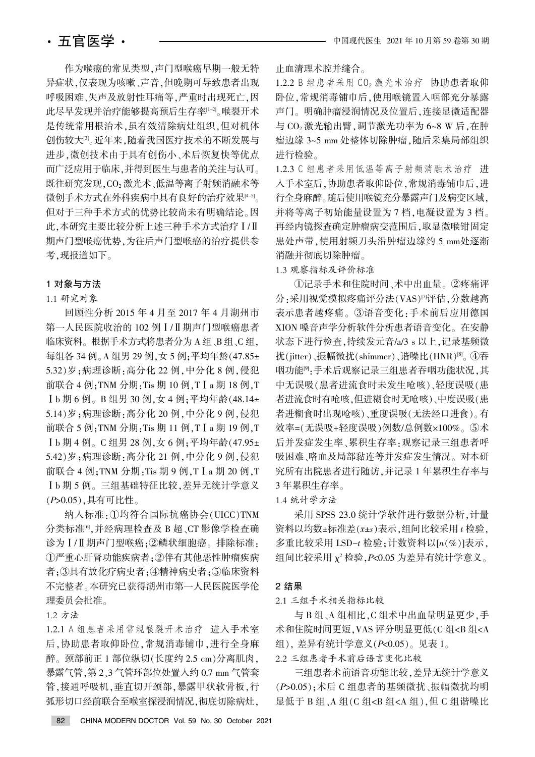作为喉癌的常见类型,声门型喉癌早期一般无特 异症状,仅表现为咳嗽、声音,但晚期可导致患者出现 呼吸困难、失声及放射性耳痛等,严重时出现死亡,因 此尽早发现并治疗能够提高预后生存率[1-2]。喉裂开术 是传统常用根治术,虽有效清除病灶组织,但对机体 创伤较大<sup>[3]</sup>。近年来,随着我国医疗技术的不断发展与 进步. 微创技术由于具有创伤小、术后恢复快等优点 而广泛应用于临床,并得到医生与患者的关注与认可。 既往研究发现.CO<sub>2</sub> 激光术、低温等离子射频消融术等 微创手术方式在外科疾病中具有良好的治疗效果[4-5]。 但对于三种手术方式的优势比较尚未有明确结论。因 此,本研究主要比较分析上述三种手术方式治疗 I/I 期声门型喉癌的治疗提供参 考.现报道如下。

#### 1 对象与方法

1.1 研究对象

回顾性分析 2015 年 4 月至 2017 年 4 月湖州市 第一人民医院收治的 102 例 I/I 期声门型喉癌患者 临床资料。根据手术方式将患者分为 A 组、B 组、C 组, 每组各 34 例。A 组男 29 例, 女 5 例; 平均年龄(47.85± 5.32) 岁: 病理诊断: 高分化 22 例, 中分化 8 例, 侵犯 前联合 4 例; TNM 分期: Tis 期 10 例, T I a 期 18 例, T **Ib 期 6 例。B 组男 30 例. 女 4 例:平均年龄(48.14±** 5.14)岁;病理诊断:高分化 20 例,中分化 9 例,侵犯 前联合 5 例: TNM 分期: Tis 期 11 例, T I a 期 19 例, T Ib 期 4 例。C 组男 28 例, 女 6 例; 平均年龄(47.95± 5.42)岁;病理诊断:高分化 21 例,中分化 9 例,侵犯 前联合 4 例: TNM 分期: Tis 期 9 例, T I a 期 20 例, T Ib 期 5 例。三组基础特征比较, 差异无统计学意义  $(P>0.05)$ , 具有可比性。

纳入标准:①均符合国际抗癌协会(UICC)TNM 分类标准<sup>[6</sup>],并经病理检查及 B 超、CT 影像学检查确 诊为 I/I 期声门型喉癌;2鳞状细胞癌。排除标准: ①严重心肝肾功能疾病者:2伴有其他恶性肿瘤疾病 者;3具有放化疗病史者;4精神病史者;5临床资料 不完整者。本研究已获得湖州市第一人民医院医学伦 理委员会批准。

1.2 方法

1.2.1 A 组患者采用常规喉裂开术治疗 进入手术室 后,协助患者取仰卧位,常规消毒铺巾,进行全身麻 醉。颈部前正 1 部位纵切(长度约 2.5 cm)分离肌肉, 暴露气管, 第 2、3 气管环部位处置入约 0.7 mm 气管套 管,接通呼吸机,垂直切开颈部,暴露甲状软骨板,行 弧形切口经前联合至喉室探浸润情况,彻底切除病灶,

止血清理术腔并缝合。

1.2.2 B 组患者采用 CO2 激光术治疗 协助患者取仰 卧位,常规消毒铺巾后,使用喉镜置入咽部充分暴露 声门。明确肿瘤浸润情况及位置后,连接显微适配器 与 CO<sub>2</sub> 激光输出臂, 调节激光功率为 6~8 W 后, 在肿 瘤边缘 3~5 mm 处整体切除肿瘤,随后采集局部组织 进行检验。

1.2.3 C 组患者采用低温等离子射频消融术治疗 进 入手术室后,协助患者取仰卧位,常规消毒铺巾后,进 行全身麻醉。随后使用喉镜充分暴露声门及病变区域, 并将等离子初始能量设置为 7 档, 电凝设置为 3 档。 再经内镜探查确定肿瘤病变范围后,取显微喉钳固定 患处声带,使用射频刀头沿肿瘤边缘约 5 mm处逐渐 消融并彻底切除肿瘤。

1.3 观察指标及评价标准

①记录手术和住院时间、术中出血量。②疼痛评 分:采用视觉模拟疼痛评分法(VAS)<sup>[7]</sup>评估,分数越高 表示患者越疼痛。③语音变化:手术前后应用德国 XION 嗓音声学分析软件分析患者语音变化。在安静 状态下进行检查,持续发元音/a/3 s 以上,记录基频微 扰(jitter)、振幅微扰(shimmer)、谐噪比(HNR)<sup>[8]</sup>。 43吞 咽功能<sup>[9]</sup>:手术后观察记录三组患者吞咽功能状况,其 中无误吸(患者进流食时未发生呛咳)、轻度误吸(患 者进流食时有呛咳,但进糊食时无呛咳)、中度误吸(患 者进糊食时出现呛咳)、重度误吸(无法经口进食)。有 效率=(无误吸+轻度误吸)例数/总例数×100%。⑤术 后并发症发生率、累积生存率:观察记录三组患者呼 吸困难、咯血及局部黏连等并发症发生情况。对本研 究所有出院患者进行随访,并记录 1 年累积生存率与 3年累积生存率。

1.4 统计学方法

采用 SPSS 23.0 统计学软件进行数据分析, 计量 资料以均数±标准差(x±s)表示,组间比较采用 t 检验, 多重比较采用 LSD-t 检验; 计数资料以 $[n(\%)]$ 表示, 组间比较采用  $\chi^2$  检验,  $P$ <0.05 为差异有统计学意义。

#### 2 结果

2.1 三组手术相关指标比较

与 B 组、A 组相比, C 组术中出血量明显更少, 手 术和住院时间更短, VAS 评分明显更低(C 组<B 组<A 组), 差异有统计学意义 $(P< 0.05)$ 。见表 1。

2.2 三组患者手术前后语言变化比较

三组患者术前语音功能比较,差异无统计学意义 (P>0.05);术后 C 组患者的基频微扰、振幅微扰均明  $\mathbb{R}$ 低于 B 组 、A 组(C 组<B 组<A 组),但 C 组谐噪比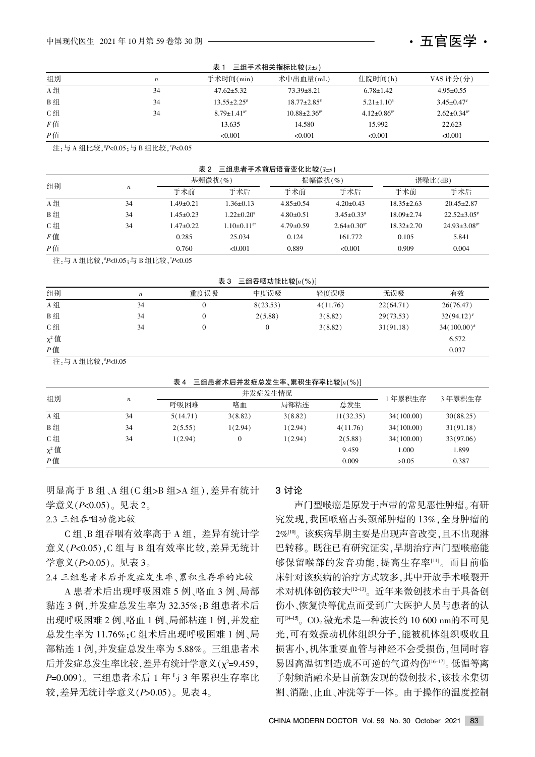

| 表<br>三组手术相关指标比较(x±s) |                  |                               |                               |                             |                    |  |  |
|----------------------|------------------|-------------------------------|-------------------------------|-----------------------------|--------------------|--|--|
| 组别                   | $\boldsymbol{n}$ | 手术时间(min)                     | 术中出血量(mL)                     | 住院时间(h)                     | VAS 评分 $(\oplus)$  |  |  |
| A 组                  | 34               | $47.62 \pm 5.32$              | $73.39 \pm 8.21$              | $6.78 \pm 1.42$             | $4.95 \pm 0.55$    |  |  |
| B组                   | 34               | $13.55 \pm 2.25^*$            | $18.77 \pm 2.85$ <sup>#</sup> | $5.21 \pm 1.10^*$           | $3.45 \pm 0.47$    |  |  |
| C组                   | 34               | $8.79 \pm 1.41$ <sup>#*</sup> | $10.88 \pm 2.36$ **           | $4.12\pm0.86$ <sup>#*</sup> | $2.62 \pm 0.34$ #* |  |  |
| $F$ 值                |                  | 13.635                        | 14.580                        | 15.992                      | 22.623             |  |  |
| $P$ 值                |                  | < 0.001                       | < 0.001                       | < 0.001                     | < 0.001            |  |  |

注<sub>:</sub>与 A 组比较 , \*P<0.05 ; 与 B 组比较 , \**P<*0.05

| 表 2 | 三组患者手术前后语音变化比较(x+s) |
|-----|---------------------|
|-----|---------------------|

| 组别    |                  |                 | 基频微扰(%)                     |                 | 振幅微扰(%)              |                  | 谐噪比(dB)                        |  |
|-------|------------------|-----------------|-----------------------------|-----------------|----------------------|------------------|--------------------------------|--|
|       | $\boldsymbol{n}$ | 手术前             | 手术后                         | 手术前             | 手术后                  | 手术前              | 手术后                            |  |
| A 组   | 34               | $-49\pm0.21$    | $1.36 \pm 0.13$             | $4.85 \pm 0.54$ | $4.20 \pm 0.43$      | $18.35 \pm 2.63$ | $20.45 \pm 2.87$               |  |
| B组    | 34               | $1.45 \pm 0.23$ | $1.22 \pm 0.20^*$           | $4.80 \pm 0.51$ | $3.45 \pm 0.33$ #    | $18.09 \pm 2.74$ | $22.52 \pm 3.05^*$             |  |
| C组    | 34               | $1.47 \pm 0.22$ | $1.10\pm0.11$ <sup>#*</sup> | $4.79 \pm 0.59$ | $2.64 \pm 0.30^{**}$ | $18.32 \pm 2.70$ | $24.93 \pm 3.08$ <sup>**</sup> |  |
| $F$ 值 |                  | 0.285           | 25.034                      | 0.124           | 161.772              | 0.105            | 5.841                          |  |
| $P$ 值 |                  | 0.760           | < 0.001                     | 0.889           | < 0.001              | 0.909            | 0.004                          |  |

注院与 A 组比较袁# P<0.05曰与 B 组比较袁\* P<0.05

| 表 3<br>三组吞咽功能比较[ $n$ (%)] |
|---------------------------|
|---------------------------|

| 组别                                                                                                                                                                                                                                                                                             | $\boldsymbol{n}$ | 重度误吸     | 中度误吸     | 轻度误吸     | 无误吸       | 有效               |
|------------------------------------------------------------------------------------------------------------------------------------------------------------------------------------------------------------------------------------------------------------------------------------------------|------------------|----------|----------|----------|-----------|------------------|
| A 组                                                                                                                                                                                                                                                                                            | 34               | $\theta$ | 8(23.53) | 4(11.76) | 22(64.71) | 26(76.47)        |
| B组                                                                                                                                                                                                                                                                                             | 34               |          | 2(5.88)  | 3(8.82)  | 29(73.53) | $32(94.12)^{*}$  |
| C组                                                                                                                                                                                                                                                                                             | 34               | v        |          | 3(8.82)  | 31(91.18) | $34(100.00)^{*}$ |
| $\chi^2$ 值                                                                                                                                                                                                                                                                                     |                  |          |          |          |           | 6.572            |
| $P$ 值                                                                                                                                                                                                                                                                                          |                  |          |          |          |           | 0.037            |
| $\mathbf{v}$ , and $\mathbf{v}$ are $\mathbf{v}$ . The set of $\mathbf{v}$ and $\mathbf{v}$ are $\mathbf{v}$ and $\mathbf{v}$ are $\mathbf{v}$ and $\mathbf{v}$ are $\mathbf{v}$ and $\mathbf{v}$ are $\mathbf{v}$ and $\mathbf{v}$ are $\mathbf{v}$ and $\mathbf{v}$ are $\mathbf{v}$ and $\$ |                  |          |          |          |           |                  |

注<sub>:</sub>与 A 组比较 ,*\*P<*0.05

表 4 三组患者术后并发症总发生率、累积生存率比较 $[n(%)]$ 

| 组别         |                  |          | 并发症发生情况  | 1年累积生存  | 3年累积生存    |            |           |
|------------|------------------|----------|----------|---------|-----------|------------|-----------|
|            | $\boldsymbol{n}$ | 呼吸困难     | 咯血       | 局部粘连    | 总发生       |            |           |
| A组         | 34               | 5(14.71) | 3(8.82)  | 3(8.82) | 11(32.35) | 34(100.00) | 30(88.25) |
| B组         | 34               | 2(5.55)  | 1(2.94)  | 1(2.94) | 4(11.76)  | 34(100.00) | 31(91.18) |
| C组         | 34               | 1(2.94)  | $\theta$ | 1(2.94) | 2(5.88)   | 34(100.00) | 33(97.06) |
| $\chi^2$ 值 |                  |          |          |         | 9.459     | 1.000      | 1.899     |
| $P$ 值      |                  |          |          |         | 0.009     | >0.05      | 0.387     |

明显高于 B 组、A 组(C 组>B 组>A 组), 差异有统计 学意义 $(P< 0.05)$ 。见表 2。

2.3 三组吞咽功能比较

C组、B组吞咽有效率高于 A 组, 差异有统计学 意义 $(P<0.05)$ , C 组与 B 组有效率比较, 差异无统计 学意义 $( P > 0.05)$ 。见表 3。

2.4 三组患者术后并发症发生率、累积生存率的比较

A 患者术后出现呼吸困难 5 例、咯血 3 例、局部 黏连 3 例,并发症总发生率为 32.35%;B 组患者术后 出现呼吸困难 2 例、咯血 1 例、局部粘连 1 例,并发症 总发生率为 11.76%:C 组术后出现呼吸困难 1 例、局 部粘连 1 例,并发症总发生率为 5.88%。三组患者术 后并发症总发生率比较,差异有统计学意义(χ<del>'=</del>9.459,  $P=0.009$ )。三组患者术后 1 年与 3 年累积生存率比 较,差异无统计学意义 $(P>0.05)$ 。见表 4。

#### 3 讨论

声门型喉癌是原发于声带的常见恶性肿瘤。有研 究发现,我国喉癌占头颈部肿瘤的 13%,全身肿瘤的 2%[10]。该疾病早期主要是出现声音改变,且不出现淋 巴转移。既往已有研究证实,早期治疗声门型喉癌能 够保留喉部的发音功能,提高生存率[11]。而目前临 床针对该疾病的治疗方式较多,其中开放手术喉裂开 术对机体创伤较大[12-13]。近年来微创技术由于具备创 伤小、恢复快等优点而受到广大医护人员与患者的认 可 $[14-15]$  CO<sub>2</sub> 激光术是一种波长约 10 600 nm的不可见 光,可有效振动机体组织分子,能被机体组织吸收且 损害小,机体重要血管与神经不会受损伤,但同时容 易因高温切割造成不可逆的气道灼伤[16-17]。低温等离 子射频消融术是目前新发现的微创技术,该技术集切 割、消融、止血、冲洗等于一体。由于操作的温度控制